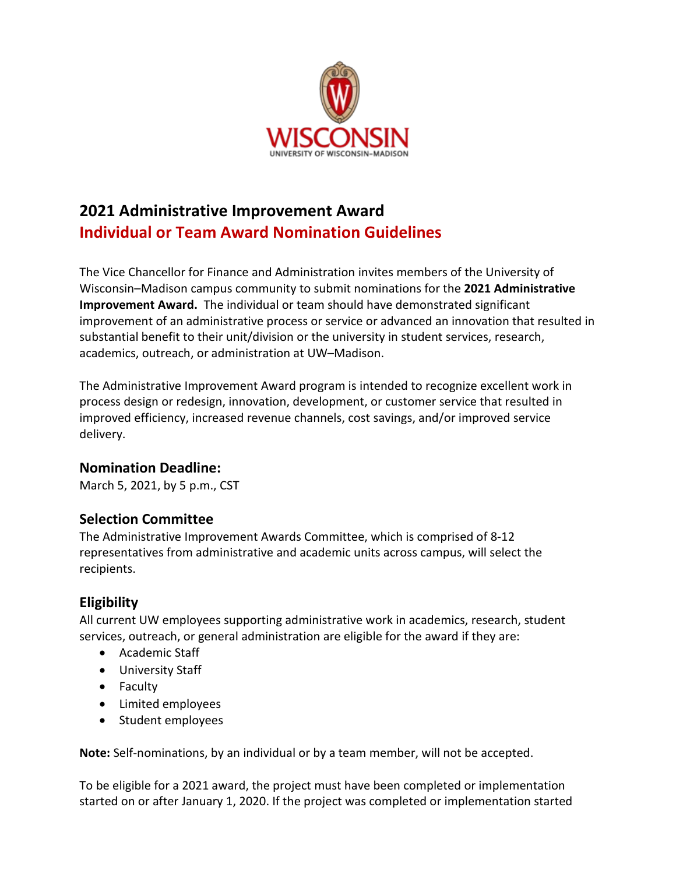

# **2021 Administrative Improvement Award Individual or Team Award Nomination Guidelines**

The Vice Chancellor for Finance and Administration invites members of the University of Wisconsin–Madison campus community to submit nominations for the **2021 Administrative Improvement Award.** The individual or team should have demonstrated significant improvement of an administrative process or service or advanced an innovation that resulted in substantial benefit to their unit/division or the university in student services, research, academics, outreach, or administration at UW–Madison.

The Administrative Improvement Award program is intended to recognize excellent work in process design or redesign, innovation, development, or customer service that resulted in improved efficiency, increased revenue channels, cost savings, and/or improved service delivery.

## **Nomination Deadline:**

March 5, 2021, by 5 p.m., CST

## **Selection Committee**

The Administrative Improvement Awards Committee, which is comprised of 8-12 representatives from administrative and academic units across campus, will select the recipients.

## **Eligibility**

All current UW employees supporting administrative work in academics, research, student services, outreach, or general administration are eligible for the award if they are:

- Academic Staff
- University Staff
- Faculty
- Limited employees
- Student employees

**Note:** Self-nominations, by an individual or by a team member, will not be accepted.

To be eligible for a 2021 award, the project must have been completed or implementation started on or after January 1, 2020. If the project was completed or implementation started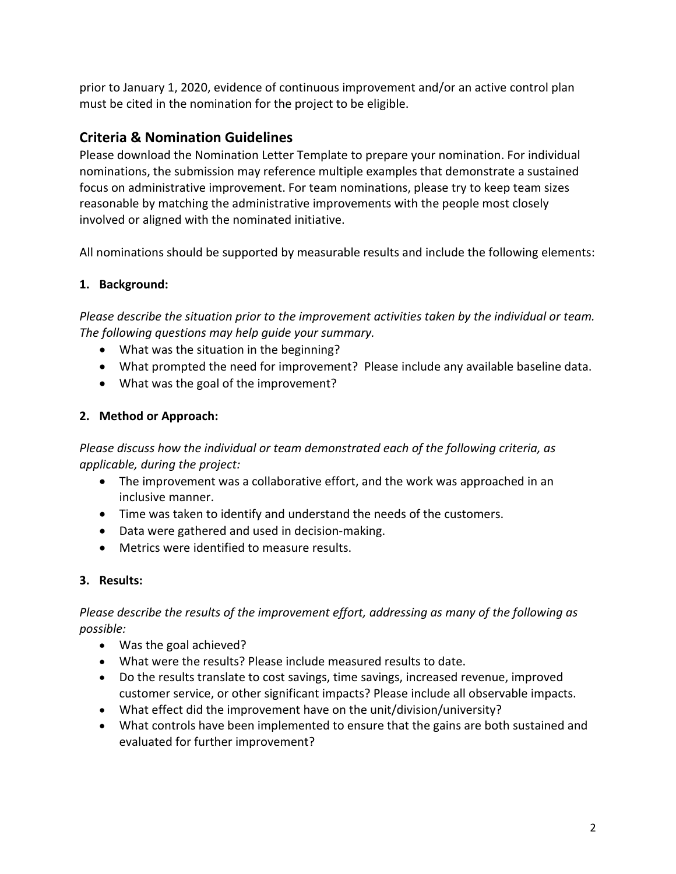prior to January 1, 2020, evidence of continuous improvement and/or an active control plan must be cited in the nomination for the project to be eligible.

# **Criteria & Nomination Guidelines**

Please download the Nomination Letter Template to prepare your nomination. For individual nominations, the submission may reference multiple examples that demonstrate a sustained focus on administrative improvement. For team nominations, please try to keep team sizes reasonable by matching the administrative improvements with the people most closely involved or aligned with the nominated initiative.

All nominations should be supported by measurable results and include the following elements:

## **1. Background:**

*Please describe the situation prior to the improvement activities taken by the individual or team. The following questions may help guide your summary.*

- What was the situation in the beginning?
- What prompted the need for improvement? Please include any available baseline data.
- What was the goal of the improvement?

#### **2. Method or Approach:**

*Please discuss how the individual or team demonstrated each of the following criteria, as applicable, during the project:*

- The improvement was a collaborative effort, and the work was approached in an inclusive manner.
- Time was taken to identify and understand the needs of the customers.
- Data were gathered and used in decision-making.
- Metrics were identified to measure results.

## **3. Results:**

#### *Please describe the results of the improvement effort, addressing as many of the following as possible:*

- Was the goal achieved?
- What were the results? Please include measured results to date.
- Do the results translate to cost savings, time savings, increased revenue, improved customer service, or other significant impacts? Please include all observable impacts.
- What effect did the improvement have on the unit/division/university?
- What controls have been implemented to ensure that the gains are both sustained and evaluated for further improvement?